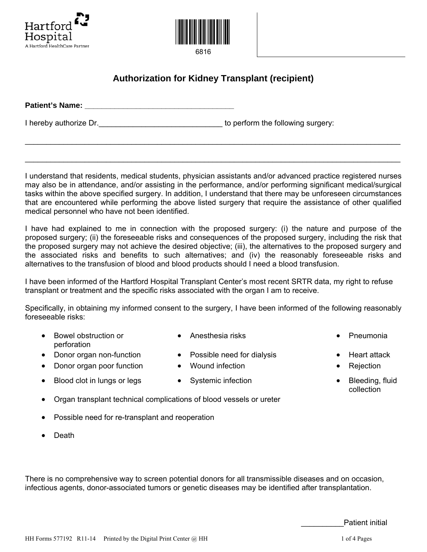



6816

## **Authorization for Kidney Transplant (recipient)**

| <b>Patient's Name:</b> |                                   |  |
|------------------------|-----------------------------------|--|
| I hereby authorize Dr. | to perform the following surgery: |  |

I understand that residents, medical students, physician assistants and/or advanced practice registered nurses may also be in attendance, and/or assisting in the performance, and/or performing significant medical/surgical tasks within the above specified surgery. In addition, I understand that there may be unforeseen circumstances that are encountered while performing the above listed surgery that require the assistance of other qualified medical personnel who have not been identified.

\_\_\_\_\_\_\_\_\_\_\_\_\_\_\_\_\_\_\_\_\_\_\_\_\_\_\_\_\_\_\_\_\_\_\_\_\_\_\_\_\_\_\_\_\_\_\_\_\_\_\_\_\_\_\_\_\_\_\_\_\_\_\_\_\_\_\_\_\_\_\_\_\_\_\_\_\_\_\_\_\_\_\_\_\_\_\_\_

\_\_\_\_\_\_\_\_\_\_\_\_\_\_\_\_\_\_\_\_\_\_\_\_\_\_\_\_\_\_\_\_\_\_\_\_\_\_\_\_\_\_\_\_\_\_\_\_\_\_\_\_\_\_\_\_\_\_\_\_\_\_\_\_\_\_\_\_\_\_\_\_\_\_\_\_\_\_\_\_\_\_\_\_\_\_\_\_

I have had explained to me in connection with the proposed surgery: (i) the nature and purpose of the proposed surgery; (ii) the foreseeable risks and consequences of the proposed surgery, including the risk that the proposed surgery may not achieve the desired objective; (iii), the alternatives to the proposed surgery and the associated risks and benefits to such alternatives; and (iv) the reasonably foreseeable risks and alternatives to the transfusion of blood and blood products should I need a blood transfusion.

I have been informed of the Hartford Hospital Transplant Center's most recent SRTR data, my right to refuse transplant or treatment and the specific risks associated with the organ I am to receive.

Specifically, in obtaining my informed consent to the surgery, I have been informed of the following reasonably foreseeable risks:

- Bowel obstruction or perforation
- Anesthesia risks Pneumonia
- Donor organ non-function Possible need for dialysis Heart attack
- Donor organ poor function Wound infection  $\bullet$  Rejection
- Blood clot in lungs or legs Systemic infection Blood clot in lungs or legs
- 
- 
- 
- 
- collection
- Organ transplant technical complications of blood vessels or ureter
- Possible need for re-transplant and reoperation
- Death

There is no comprehensive way to screen potential donors for all transmissible diseases and on occasion, infectious agents, donor-associated tumors or genetic diseases may be identified after transplantation.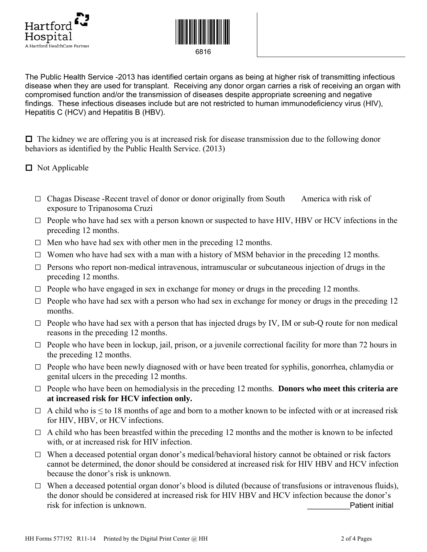



The Public Health Service -2013 has identified certain organs as being at higher risk of transmitting infectious disease when they are used for transplant. Receiving any donor organ carries a risk of receiving an organ with compromised function and/or the transmission of diseases despite appropriate screening and negative findings. These infectious diseases include but are not restricted to human immunodeficiency virus (HIV), Hepatitis C (HCV) and Hepatitis B (HBV).

 $\Box$  The kidney we are offering you is at increased risk for disease transmission due to the following donor behaviors as identified by the Public Health Service. (2013)

■ Not Applicable

- $\Box$  Chagas Disease -Recent travel of donor or donor originally from South America with risk of exposure to Tripanosoma Cruzi
- $\Box$  People who have had sex with a person known or suspected to have HIV, HBV or HCV infections in the preceding 12 months.
- $\Box$  Men who have had sex with other men in the preceding 12 months.
- $\Box$  Women who have had sex with a man with a history of MSM behavior in the preceding 12 months.
- $\Box$  Persons who report non-medical intravenous, intramuscular or subcutaneous injection of drugs in the preceding 12 months.
- $\Box$  People who have engaged in sex in exchange for money or drugs in the preceding 12 months.
- $\Box$  People who have had sex with a person who had sex in exchange for money or drugs in the preceding 12 months.
- $\Box$  People who have had sex with a person that has injected drugs by IV, IM or sub-Q route for non medical reasons in the preceding 12 months.
- $\Box$  People who have been in lockup, jail, prison, or a juvenile correctional facility for more than 72 hours in the preceding 12 months.
- $\Box$  People who have been newly diagnosed with or have been treated for syphilis, gonorrhea, chlamydia or genital ulcers in the preceding 12 months.
- □ People who have been on hemodialysis in the preceding 12 months. **Donors who meet this criteria are at increased risk for HCV infection only.**
- $\Box$  A child who is  $\leq$  to 18 months of age and born to a mother known to be infected with or at increased risk for HIV, HBV, or HCV infections.
- $\Box$  A child who has been breastfed within the preceding 12 months and the mother is known to be infected with, or at increased risk for HIV infection.
- $\Box$  When a deceased potential organ donor's medical/behavioral history cannot be obtained or risk factors cannot be determined, the donor should be considered at increased risk for HIV HBV and HCV infection because the donor's risk is unknown.
- $\Box$  When a deceased potential organ donor's blood is diluted (because of transfusions or intravenous fluids), the donor should be considered at increased risk for HIV HBV and HCV infection because the donor's risk for infection is unknown. The contract of the contract of the patient initial properties of the contract of the contract of the contract of the contract of the contract of the contract of the contract of the contract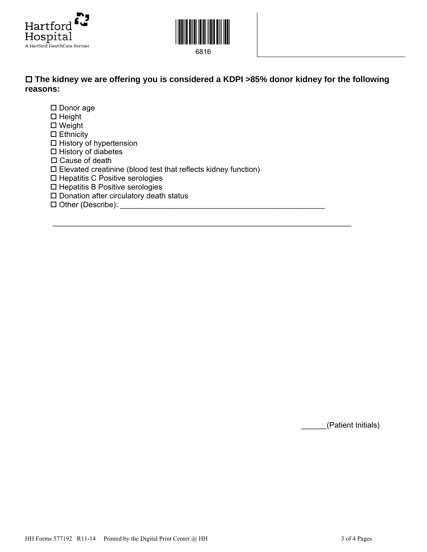



## **The kidney we are offering you is considered a KDPI >85% donor kidney for the following reasons:**

 $\mathcal{L}_\text{max}$  , and the contract of the contract of the contract of the contract of the contract of the contract of the contract of the contract of the contract of the contract of the contract of the contract of the contr

□ Donor age  $\Box$  Height □ Weight  $\square$  Ethnicity  $\square$  History of hypertension  $\square$  History of diabetes □ Cause of death Elevated creatinine (blood test that reflects kidney function) □ Hepatitis C Positive serologies  $\square$  Hepatitis B Positive serologies  $\square$  Donation after circulatory death status  $\square$  Other (Describe):

\_\_\_\_\_\_(Patient Initials)